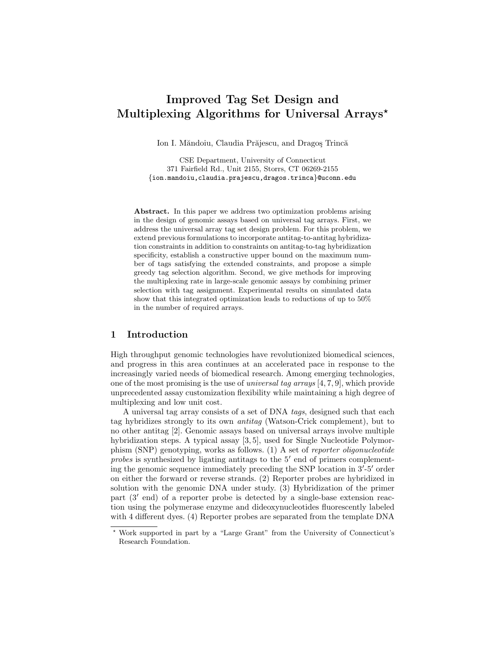# Improved Tag Set Design and Multiplexing Algorithms for Universal Arrays<sup>\*</sup>

Ion I. Măndoiu, Claudia Prăjescu, and Dragos Trincă

CSE Department, University of Connecticut 371 Fairfield Rd., Unit 2155, Storrs, CT 06269-2155 {ion.mandoiu,claudia.prajescu,dragos.trinca}@uconn.edu

Abstract. In this paper we address two optimization problems arising in the design of genomic assays based on universal tag arrays. First, we address the universal array tag set design problem. For this problem, we extend previous formulations to incorporate antitag-to-antitag hybridization constraints in addition to constraints on antitag-to-tag hybridization specificity, establish a constructive upper bound on the maximum number of tags satisfying the extended constraints, and propose a simple greedy tag selection algorithm. Second, we give methods for improving the multiplexing rate in large-scale genomic assays by combining primer selection with tag assignment. Experimental results on simulated data show that this integrated optimization leads to reductions of up to 50% in the number of required arrays.

#### 1 Introduction

High throughput genomic technologies have revolutionized biomedical sciences, and progress in this area continues at an accelerated pace in response to the increasingly varied needs of biomedical research. Among emerging technologies, one of the most promising is the use of universal tag arrays [4, 7, 9], which provide unprecedented assay customization flexibility while maintaining a high degree of multiplexing and low unit cost.

A universal tag array consists of a set of DNA tags, designed such that each tag hybridizes strongly to its own antitag (Watson-Crick complement), but to no other antitag [2]. Genomic assays based on universal arrays involve multiple hybridization steps. A typical assay [3, 5], used for Single Nucleotide Polymorphism (SNP) genotyping, works as follows. (1) A set of reporter oligonucleotide  $probes$  is synthesized by ligating antitags to the  $5'$  end of primers complementing the genomic sequence immediately preceding the SNP location in  $3'$ -5' order on either the forward or reverse strands. (2) Reporter probes are hybridized in solution with the genomic DNA under study. (3) Hybridization of the primer part  $(3'$  end) of a reporter probe is detected by a single-base extension reaction using the polymerase enzyme and dideoxynucleotides fluorescently labeled with 4 different dyes. (4) Reporter probes are separated from the template DNA

<sup>?</sup> Work supported in part by a "Large Grant" from the University of Connecticut's Research Foundation.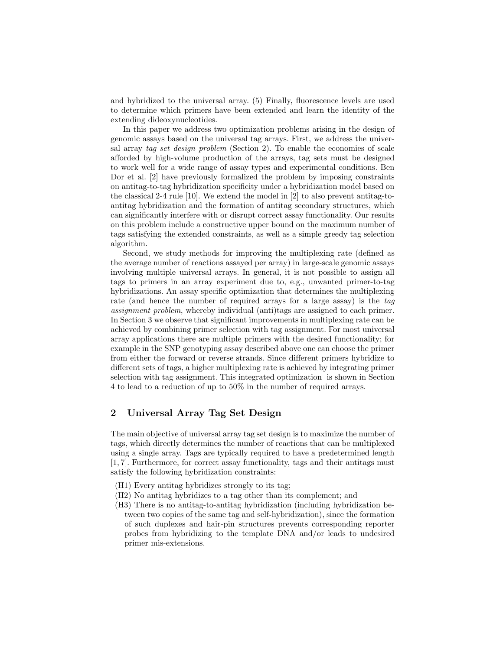and hybridized to the universal array. (5) Finally, fluorescence levels are used to determine which primers have been extended and learn the identity of the extending dideoxynucleotides.

In this paper we address two optimization problems arising in the design of genomic assays based on the universal tag arrays. First, we address the universal array tag set design problem (Section 2). To enable the economies of scale afforded by high-volume production of the arrays, tag sets must be designed to work well for a wide range of assay types and experimental conditions. Ben Dor et al. [2] have previously formalized the problem by imposing constraints on antitag-to-tag hybridization specificity under a hybridization model based on the classical 2-4 rule [10]. We extend the model in [2] to also prevent antitag-toantitag hybridization and the formation of antitag secondary structures, which can significantly interfere with or disrupt correct assay functionality. Our results on this problem include a constructive upper bound on the maximum number of tags satisfying the extended constraints, as well as a simple greedy tag selection algorithm.

Second, we study methods for improving the multiplexing rate (defined as the average number of reactions assayed per array) in large-scale genomic assays involving multiple universal arrays. In general, it is not possible to assign all tags to primers in an array experiment due to, e.g., unwanted primer-to-tag hybridizations. An assay specific optimization that determines the multiplexing rate (and hence the number of required arrays for a large assay) is the tag assignment problem, whereby individual (anti)tags are assigned to each primer. In Section 3 we observe that significant improvements in multiplexing rate can be achieved by combining primer selection with tag assignment. For most universal array applications there are multiple primers with the desired functionality; for example in the SNP genotyping assay described above one can choose the primer from either the forward or reverse strands. Since different primers hybridize to different sets of tags, a higher multiplexing rate is achieved by integrating primer selection with tag assignment. This integrated optimization is shown in Section 4 to lead to a reduction of up to 50% in the number of required arrays.

## 2 Universal Array Tag Set Design

The main objective of universal array tag set design is to maximize the number of tags, which directly determines the number of reactions that can be multiplexed using a single array. Tags are typically required to have a predetermined length [1, 7]. Furthermore, for correct assay functionality, tags and their antitags must satisfy the following hybridization constraints:

- (H1) Every antitag hybridizes strongly to its tag;
- (H2) No antitag hybridizes to a tag other than its complement; and
- (H3) There is no antitag-to-antitag hybridization (including hybridization between two copies of the same tag and self-hybridization), since the formation of such duplexes and hair-pin structures prevents corresponding reporter probes from hybridizing to the template DNA and/or leads to undesired primer mis-extensions.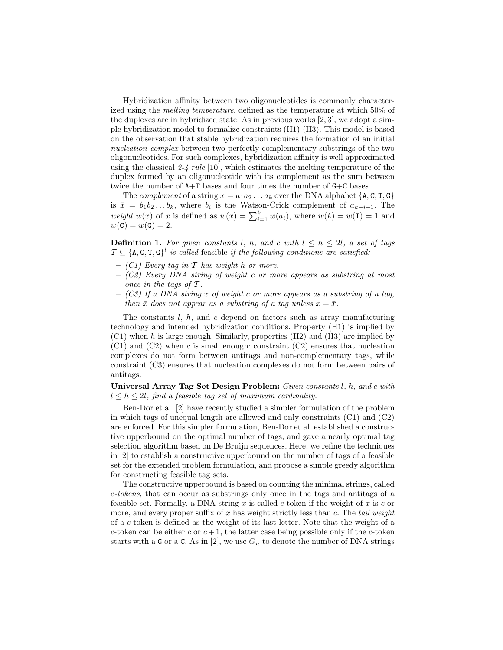Hybridization affinity between two oligonucleotides is commonly characterized using the melting temperature, defined as the temperature at which 50% of the duplexes are in hybridized state. As in previous works  $[2, 3]$ , we adopt a simple hybridization model to formalize constraints (H1)-(H3). This model is based on the observation that stable hybridization requires the formation of an initial nucleation complex between two perfectly complementary substrings of the two oligonucleotides. For such complexes, hybridization affinity is well approximated using the classical  $2-4$  rule [10], which estimates the melting temperature of the duplex formed by an oligonucleotide with its complement as the sum between twice the number of A+T bases and four times the number of G+C bases.

The *complement* of a string  $x = a_1 a_2 \dots a_k$  over the DNA alphabet  $\{A, C, T, G\}$ is  $\bar{x} = b_1 b_2 \dots b_k$ , where  $b_i$  is the Watson-Crick complement of  $a_{k-i+1}$ . The weight  $w(x)$  of x is defined as  $w(x) = \sum_{i=1}^{k} w(a_i)$ , where  $w(A) = w(T) = 1$  and  $w(C) = w(G) = 2.$ 

**Definition 1.** For given constants l, h, and c with  $l \leq h \leq 2l$ , a set of tags  $\mathcal{T} \subseteq \{\text{A}, \text{C}, \text{T}, \text{G}\}^l$  is called feasible if the following conditions are satisfied:

- $-$  (C1) Every tag in T has weight h or more.
- (C2) Every DNA string of weight c or more appears as substring at most once in the tags of  $\mathcal T$ .
- $-$  (C3) If a DNA string x of weight c or more appears as a substring of a tag, then  $\bar{x}$  does not appear as a substring of a tag unless  $x = \bar{x}$ .

The constants  $l, h$ , and c depend on factors such as array manufacturing technology and intended hybridization conditions. Property (H1) is implied by  $(C1)$  when h is large enough. Similarly, properties  $(H2)$  and  $(H3)$  are implied by  $(C1)$  and  $(C2)$  when c is small enough: constraint  $(C2)$  ensures that nucleation complexes do not form between antitags and non-complementary tags, while constraint (C3) ensures that nucleation complexes do not form between pairs of antitags.

Universal Array Tag Set Design Problem: Given constants l, h, and c with  $l \leq h \leq 2l$ , find a feasible tag set of maximum cardinality.

Ben-Dor et al. [2] have recently studied a simpler formulation of the problem in which tags of unequal length are allowed and only constraints (C1) and (C2) are enforced. For this simpler formulation, Ben-Dor et al. established a constructive upperbound on the optimal number of tags, and gave a nearly optimal tag selection algorithm based on De Bruijn sequences. Here, we refine the techniques in [2] to establish a constructive upperbound on the number of tags of a feasible set for the extended problem formulation, and propose a simple greedy algorithm for constructing feasible tag sets.

The constructive upperbound is based on counting the minimal strings, called c-tokens, that can occur as substrings only once in the tags and antitags of a feasible set. Formally, a DNA string  $x$  is called  $c$ -token if the weight of  $x$  is  $c$  or more, and every proper suffix of  $x$  has weight strictly less than  $c$ . The tail weight of a c-token is defined as the weight of its last letter. Note that the weight of a c-token can be either c or  $c + 1$ , the latter case being possible only if the c-token starts with a G or a C. As in [2], we use  $G_n$  to denote the number of DNA strings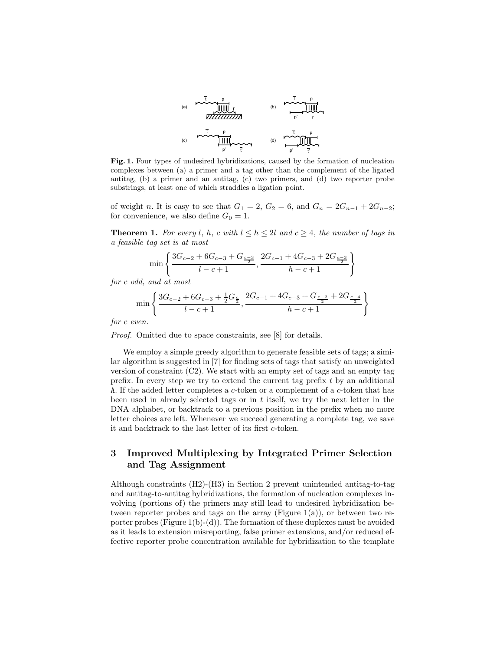

Fig. 1. Four types of undesired hybridizations, caused by the formation of nucleation complexes between (a) a primer and a tag other than the complement of the ligated antitag, (b) a primer and an antitag, (c) two primers, and (d) two reporter probe substrings, at least one of which straddles a ligation point.

of weight n. It is easy to see that  $G_1 = 2, G_2 = 6$ , and  $G_n = 2G_{n-1} + 2G_{n-2}$ ; for convenience, we also define  $G_0 = 1$ .

**Theorem 1.** For every l, h, c with  $l \leq h \leq 2l$  and  $c \geq 4$ , the number of tags in a feasible tag set is at most

$$
\min\left\{\frac{3G_{c-2} + 6G_{c-3} + G_{\frac{c-3}{2}}}{l - c + 1}, \frac{2G_{c-1} + 4G_{c-3} + 2G_{\frac{c-3}{2}}}{h - c + 1}\right\}
$$

for c odd, and at most

$$
\min\left\{\frac{3G_{c-2} + 6G_{c-3} + \frac{1}{2}G_{\frac{c}{2}}}{l - c + 1}, \frac{2G_{c-1} + 4G_{c-3} + G_{\frac{c-2}{2}} + 2G_{\frac{c-4}{2}}}{h - c + 1}\right\}
$$

for c even.

Proof. Omitted due to space constraints, see [8] for details.

We employ a simple greedy algorithm to generate feasible sets of tags; a similar algorithm is suggested in [7] for finding sets of tags that satisfy an unweighted version of constraint (C2). We start with an empty set of tags and an empty tag prefix. In every step we try to extend the current tag prefix  $t$  by an additional A. If the added letter completes a c-token or a complement of a c-token that has been used in already selected tags or in  $t$  itself, we try the next letter in the DNA alphabet, or backtrack to a previous position in the prefix when no more letter choices are left. Whenever we succeed generating a complete tag, we save it and backtrack to the last letter of its first c-token.

## 3 Improved Multiplexing by Integrated Primer Selection and Tag Assignment

Although constraints (H2)-(H3) in Section 2 prevent unintended antitag-to-tag and antitag-to-antitag hybridizations, the formation of nucleation complexes involving (portions of) the primers may still lead to undesired hybridization between reporter probes and tags on the array (Figure 1(a)), or between two reporter probes (Figure  $1(b)-(d)$ ). The formation of these duplexes must be avoided as it leads to extension misreporting, false primer extensions, and/or reduced effective reporter probe concentration available for hybridization to the template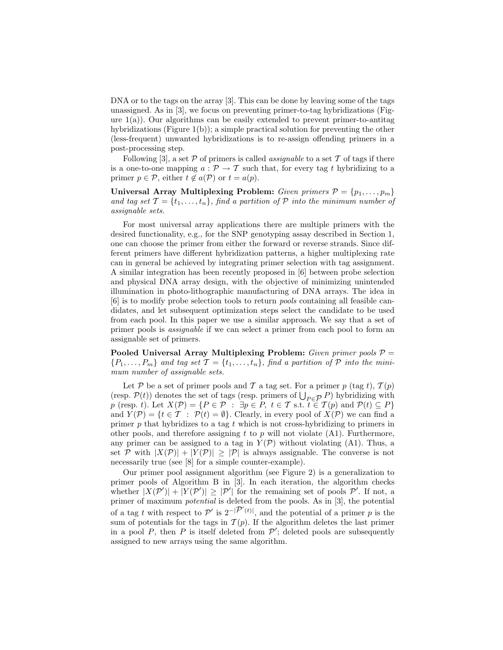DNA or to the tags on the array [3]. This can be done by leaving some of the tags unassigned. As in [3], we focus on preventing primer-to-tag hybridizations (Figure  $1(a)$ ). Our algorithms can be easily extended to prevent primer-to-antitag hybridizations (Figure 1(b)); a simple practical solution for preventing the other (less-frequent) unwanted hybridizations is to re-assign offending primers in a post-processing step.

Following [3], a set  $P$  of primers is called *assignable* to a set  $T$  of tags if there is a one-to-one mapping  $a: \mathcal{P} \to \mathcal{T}$  such that, for every tag t hybridizing to a primer  $p \in \mathcal{P}$ , either  $t \notin a(\mathcal{P})$  or  $t = a(p)$ .

Universal Array Multiplexing Problem: Given primers  $P = \{p_1, \ldots, p_m\}$ and tag set  $\mathcal{T} = \{t_1, \ldots, t_n\}$ , find a partition of P into the minimum number of assignable sets.

For most universal array applications there are multiple primers with the desired functionality, e.g., for the SNP genotyping assay described in Section 1, one can choose the primer from either the forward or reverse strands. Since different primers have different hybridization patterns, a higher multiplexing rate can in general be achieved by integrating primer selection with tag assignment. A similar integration has been recently proposed in [6] between probe selection and physical DNA array design, with the objective of minimizing unintended illumination in photo-lithographic manufacturing of DNA arrays. The idea in [6] is to modify probe selection tools to return pools containing all feasible candidates, and let subsequent optimization steps select the candidate to be used from each pool. In this paper we use a similar approach. We say that a set of primer pools is assignable if we can select a primer from each pool to form an assignable set of primers.

Pooled Universal Array Multiplexing Problem: Given primer pools  $P =$  $\{P_1, \ldots, P_m\}$  and tag set  $\mathcal{T} = \{t_1, \ldots, t_n\}$ , find a partition of  $\mathcal P$  into the minimum number of assignable sets.

Let P be a set of primer pools and T a tag set. For a primer p (tag t),  $T(p)$ (resp.  $\mathcal{P}(t)$ ) denotes the set of tags (resp. primers of  $\bigcup_{P \in \mathcal{P}} P$ ) hybridizing with p (resp. t). Let  $X(\mathcal{P}) = \{P \in \mathcal{P} : \exists p \in P, t \in \mathcal{T} \text{ s.t. } t \in \mathcal{T}(p) \text{ and } \mathcal{P}(t) \subseteq P\}$ and  $Y(\mathcal{P}) = \{t \in \mathcal{T} : \mathcal{P}(t) = \emptyset\}$ . Clearly, in every pool of  $X(\mathcal{P})$  we can find a primer  $p$  that hybridizes to a tag  $t$  which is not cross-hybridizing to primers in other pools, and therefore assigning  $t$  to  $p$  will not violate (A1). Furthermore, any primer can be assigned to a tag in  $Y(\mathcal{P})$  without violating (A1). Thus, a set P with  $|X(\mathcal{P})| + |Y(\mathcal{P})| \geq |\mathcal{P}|$  is always assignable. The converse is not necessarily true (see [8] for a simple counter-example).

Our primer pool assignment algorithm (see Figure 2) is a generalization to primer pools of Algorithm B in [3]. In each iteration, the algorithm checks whether  $|X(\mathcal{P}')| + |Y(\mathcal{P}')| \geq |\mathcal{P}'|$  for the remaining set of pools  $\mathcal{P}'$ . If not, a primer of maximum potential is deleted from the pools. As in [3], the potential of a tag t with respect to  $\mathcal{P}'$  is  $2^{-|\mathcal{P}'(t)|}$ , and the potential of a primer p is the sum of potentials for the tags in  $\mathcal{T}(p)$ . If the algorithm deletes the last primer in a pool P, then P is itself deleted from  $\mathcal{P}'$ ; deleted pools are subsequently assigned to new arrays using the same algorithm.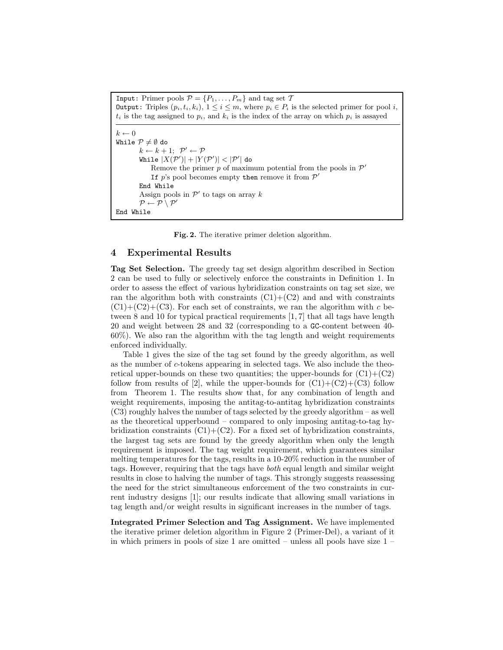Input: Primer pools  $\mathcal{P} = \{P_1, \ldots, P_m\}$  and tag set  $\mathcal{T}$ Output: Triples  $(p_i, t_i, k_i)$ ,  $1 \leq i \leq m$ , where  $p_i \in P_i$  is the selected primer for pool i,  $t_i$  is the tag assigned to  $p_i$ , and  $k_i$  is the index of the array on which  $p_i$  is assayed  $k \leftarrow 0$ While  $\mathcal{P} \neq \emptyset$  do  $k \leftarrow k+1; \ \mathcal{P}' \leftarrow \mathcal{P}$ While  $|X(\mathcal{P}')|+|Y(\mathcal{P}')|<|\mathcal{P}'|$  do Remove the primer  $p$  of maximum potential from the pools in  $\mathcal{P}'$ If  $p$ 's pool becomes empty then remove it from  $\mathcal{P}'$ End While Assign pools in  $\mathcal{P}'$  to tags on array k  $\mathcal{P} \leftarrow \mathcal{P} \setminus \mathcal{P}'$ End While

Fig. 2. The iterative primer deletion algorithm.

## 4 Experimental Results

Tag Set Selection. The greedy tag set design algorithm described in Section 2 can be used to fully or selectively enforce the constraints in Definition 1. In order to assess the effect of various hybridization constraints on tag set size, we ran the algorithm both with constraints  $(C1)+(C2)$  and and with constraints  $(C1)+(C2)+(C3)$ . For each set of constraints, we ran the algorithm with c between 8 and 10 for typical practical requirements [1, 7] that all tags have length 20 and weight between 28 and 32 (corresponding to a GC-content between 40- 60%). We also ran the algorithm with the tag length and weight requirements enforced individually.

Table 1 gives the size of the tag set found by the greedy algorithm, as well as the number of c-tokens appearing in selected tags. We also include the theoretical upper-bounds on these two quantities; the upper-bounds for  $(C1)+(C2)$ follow from results of [2], while the upper-bounds for  $(C1)+(C2)+(C3)$  follow from Theorem 1. The results show that, for any combination of length and weight requirements, imposing the antitag-to-antitag hybridization constraints (C3) roughly halves the number of tags selected by the greedy algorithm – as well as the theoretical upperbound – compared to only imposing antitag-to-tag hybridization constraints  $(C1)+(C2)$ . For a fixed set of hybridization constraints, the largest tag sets are found by the greedy algorithm when only the length requirement is imposed. The tag weight requirement, which guarantees similar melting temperatures for the tags, results in a 10-20% reduction in the number of tags. However, requiring that the tags have both equal length and similar weight results in close to halving the number of tags. This strongly suggests reassessing the need for the strict simultaneous enforcement of the two constraints in current industry designs [1]; our results indicate that allowing small variations in tag length and/or weight results in significant increases in the number of tags.

Integrated Primer Selection and Tag Assignment. We have implemented the iterative primer deletion algorithm in Figure 2 (Primer-Del), a variant of it in which primers in pools of size 1 are omitted – unless all pools have size 1 –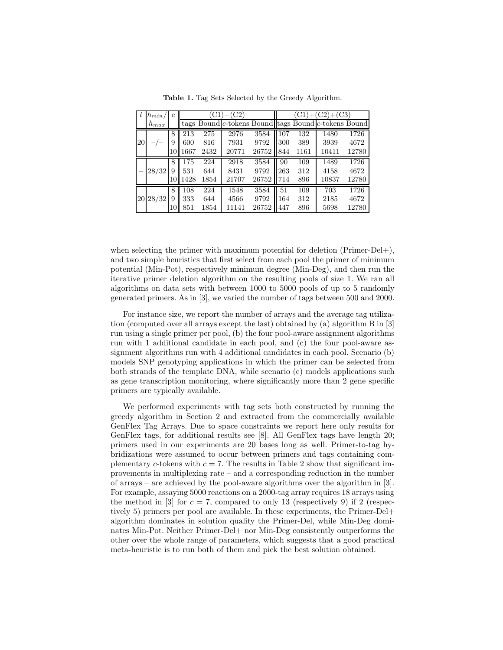|    | $ h_{min}/$ | $\mathfrak{c}$ | (C2)<br>C1)   |      |       |       | (C3) |      |                                                |       |
|----|-------------|----------------|---------------|------|-------|-------|------|------|------------------------------------------------|-------|
|    | $h_{max}$   |                | $_{\rm tags}$ |      |       |       |      |      | Bound c-tokens Bound tags Bound c-tokens Bound |       |
|    |             | 8              | 213           | 275  | 2976  | 3584  | 107  | 132  | 1480                                           | 1726  |
| 20 |             | 9              | 600           | 816  | 7931  | 9792  | 300  | 389  | 3939                                           | 4672  |
|    |             | 10             | 1667          | 2432 | 20771 | 26752 | 844  | 1161 | 10411                                          | 12780 |
|    |             | 8              | 175           | 224  | 2918  | 3584  | 90   | 109  | 1489                                           | 1726  |
|    | 28/32       | 9              | 531           | 644  | 8431  | 9792  | 263  | 312  | 4158                                           | 4672  |
|    |             | 10             | 1428          | 1854 | 21707 | 26752 | 714  | 896  | 10837                                          | 12780 |
|    |             | 8              | 108           | 224  | 1548  | 3584  | 51   | 109  | 703                                            | 1726  |
| 20 | 28/32       | 9              | 333           | 644  | 4566  | 9792  | 164  | 312  | 2185                                           | 4672  |
|    |             |                | 851           | 1854 | 11141 | 26752 | 447  | 896  | 5698                                           | 12780 |

Table 1. Tag Sets Selected by the Greedy Algorithm.

when selecting the primer with maximum potential for deletion (Primer-Del+), and two simple heuristics that first select from each pool the primer of minimum potential (Min-Pot), respectively minimum degree (Min-Deg), and then run the iterative primer deletion algorithm on the resulting pools of size 1. We ran all algorithms on data sets with between 1000 to 5000 pools of up to 5 randomly generated primers. As in [3], we varied the number of tags between 500 and 2000.

For instance size, we report the number of arrays and the average tag utilization (computed over all arrays except the last) obtained by (a) algorithm B in [3] run using a single primer per pool, (b) the four pool-aware assignment algorithms run with 1 additional candidate in each pool, and (c) the four pool-aware assignment algorithms run with 4 additional candidates in each pool. Scenario (b) models SNP genotyping applications in which the primer can be selected from both strands of the template DNA, while scenario (c) models applications such as gene transcription monitoring, where significantly more than 2 gene specific primers are typically available.

We performed experiments with tag sets both constructed by running the greedy algorithm in Section 2 and extracted from the commercially available GenFlex Tag Arrays. Due to space constraints we report here only results for GenFlex tags, for additional results see [8]. All GenFlex tags have length 20; primers used in our experiments are 20 bases long as well. Primer-to-tag hybridizations were assumed to occur between primers and tags containing complementary c-tokens with  $c = 7$ . The results in Table 2 show that significant improvements in multiplexing rate – and a corresponding reduction in the number of arrays – are achieved by the pool-aware algorithms over the algorithm in [3]. For example, assaying 5000 reactions on a 2000-tag array requires 18 arrays using the method in [3] for  $c = 7$ , compared to only 13 (respectively 9) if 2 (respectively 5) primers per pool are available. In these experiments, the Primer-Del+ algorithm dominates in solution quality the Primer-Del, while Min-Deg dominates Min-Pot. Neither Primer-Del+ nor Min-Deg consistently outperforms the other over the whole range of parameters, which suggests that a good practical meta-heuristic is to run both of them and pick the best solution obtained.